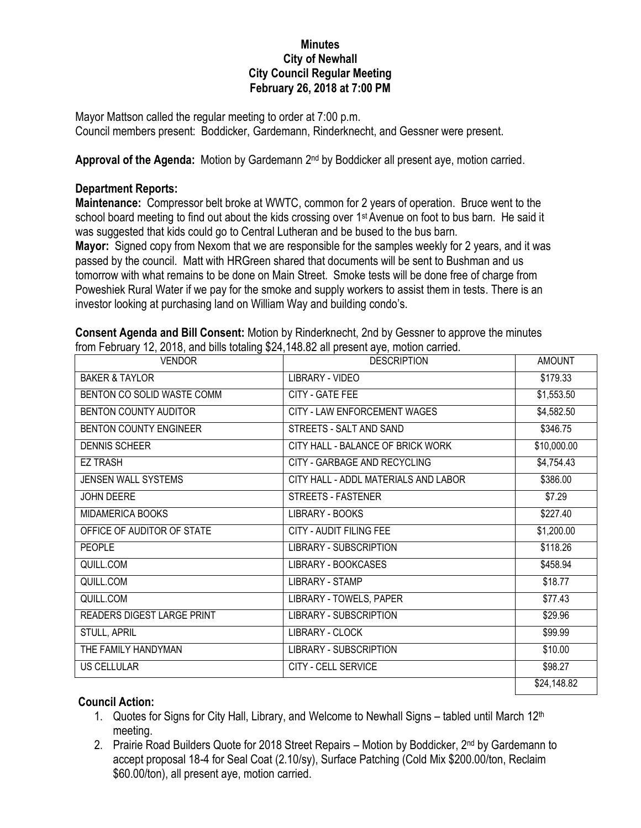## **Minutes City of Newhall City Council Regular Meeting February 26, 2018 at 7:00 PM**

Mayor Mattson called the regular meeting to order at 7:00 p.m. Council members present: Boddicker, Gardemann, Rinderknecht, and Gessner were present.

Approval of the Agenda: Motion by Gardemann 2<sup>nd</sup> by Boddicker all present aye, motion carried.

## **Department Reports:**

**Maintenance:** Compressor belt broke at WWTC, common for 2 years of operation. Bruce went to the school board meeting to find out about the kids crossing over 1<sup>st</sup> Avenue on foot to bus barn. He said it was suggested that kids could go to Central Lutheran and be bused to the bus barn.

**Mayor:** Signed copy from Nexom that we are responsible for the samples weekly for 2 years, and it was passed by the council. Matt with HRGreen shared that documents will be sent to Bushman and us tomorrow with what remains to be done on Main Street. Smoke tests will be done free of charge from Poweshiek Rural Water if we pay for the smoke and supply workers to assist them in tests. There is an investor looking at purchasing land on William Way and building condo's.

| <b>VENDOR</b>                 | <b>DESCRIPTION</b>                   | <b>AMOUNT</b> |
|-------------------------------|--------------------------------------|---------------|
| <b>BAKER &amp; TAYLOR</b>     | LIBRARY - VIDEO                      | \$179.33      |
| BENTON CO SOLID WASTE COMM    | CITY - GATE FEE                      | \$1,553.50    |
| BENTON COUNTY AUDITOR         | CITY - LAW ENFORCEMENT WAGES         | \$4,582.50    |
| <b>BENTON COUNTY ENGINEER</b> | STREETS - SALT AND SAND              | \$346.75      |
| <b>DENNIS SCHEER</b>          | CITY HALL - BALANCE OF BRICK WORK    | \$10,000.00   |
| <b>EZ TRASH</b>               | CITY - GARBAGE AND RECYCLING         | \$4,754.43    |
| JENSEN WALL SYSTEMS           | CITY HALL - ADDL MATERIALS AND LABOR | \$386.00      |
| JOHN DEERE                    | STREETS - FASTENER                   | \$7.29        |
| MIDAMERICA BOOKS              | LIBRARY - BOOKS                      | \$227.40      |
| OFFICE OF AUDITOR OF STATE    | CITY - AUDIT FILING FEE              | \$1,200.00    |
| <b>PEOPLE</b>                 | LIBRARY - SUBSCRIPTION               | \$118.26      |
| QUILL.COM                     | LIBRARY - BOOKCASES                  | \$458.94      |
| QUILL.COM                     | <b>LIBRARY - STAMP</b>               | \$18.77       |
| QUILL.COM                     | LIBRARY - TOWELS, PAPER              | \$77.43       |
| READERS DIGEST LARGE PRINT    | <b>LIBRARY - SUBSCRIPTION</b>        | \$29.96       |
| STULL, APRIL                  | LIBRARY - CLOCK                      | \$99.99       |
| THE FAMILY HANDYMAN           | <b>LIBRARY - SUBSCRIPTION</b>        | \$10.00       |
| US CELLULAR                   | CITY - CELL SERVICE                  | \$98.27       |
|                               |                                      | \$24,148.82   |

**Consent Agenda and Bill Consent:** Motion by Rinderknecht, 2nd by Gessner to approve the minutes from February 12, 2018, and bills totaling \$24,148.82 all present aye, motion carried.

## **Council Action:**

- 1. Quotes for Signs for City Hall, Library, and Welcome to Newhall Signs tabled until March 12<sup>th</sup> meeting.
- 2. Prairie Road Builders Quote for 2018 Street Repairs Motion by Boddicker,  $2^{nd}$  by Gardemann to accept proposal 18-4 for Seal Coat (2.10/sy), Surface Patching (Cold Mix \$200.00/ton, Reclaim \$60.00/ton), all present aye, motion carried.